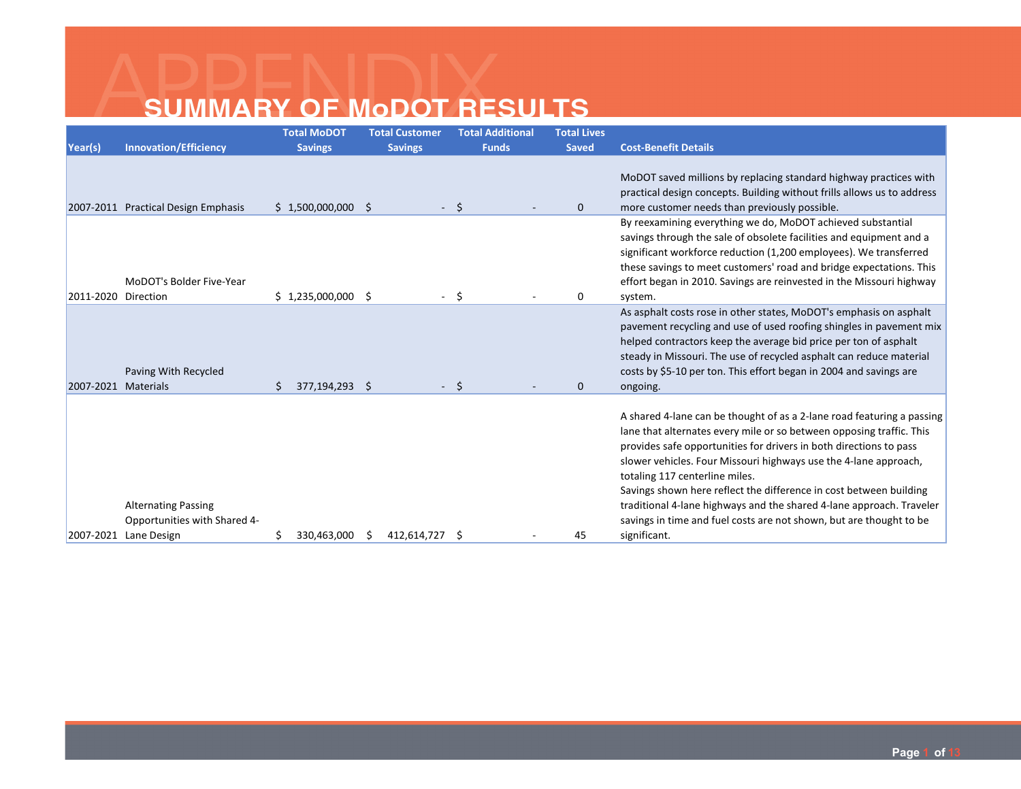|                     |                                                            | <b>Total MoDOT</b>  | <b>Total Customer</b> | <b>Total Additional</b> | <b>Total Lives</b> |                                                                                                                                                                                                                                                                                                                                                                                                                                                                                                                                                 |
|---------------------|------------------------------------------------------------|---------------------|-----------------------|-------------------------|--------------------|-------------------------------------------------------------------------------------------------------------------------------------------------------------------------------------------------------------------------------------------------------------------------------------------------------------------------------------------------------------------------------------------------------------------------------------------------------------------------------------------------------------------------------------------------|
| Year(s)             | <b>Innovation/Efficiency</b>                               | <b>Savings</b>      | <b>Savings</b>        | <b>Funds</b>            | <b>Saved</b>       | <b>Cost-Benefit Details</b>                                                                                                                                                                                                                                                                                                                                                                                                                                                                                                                     |
|                     | 2007-2011 Practical Design Emphasis                        | $$1,500,000,000$ \$ |                       | \$                      | $\mathbf 0$        | MoDOT saved millions by replacing standard highway practices with<br>practical design concepts. Building without frills allows us to address<br>more customer needs than previously possible.                                                                                                                                                                                                                                                                                                                                                   |
|                     | MoDOT's Bolder Five-Year                                   |                     |                       |                         |                    | By reexamining everything we do, MoDOT achieved substantial<br>savings through the sale of obsolete facilities and equipment and a<br>significant workforce reduction (1,200 employees). We transferred<br>these savings to meet customers' road and bridge expectations. This<br>effort began in 2010. Savings are reinvested in the Missouri highway                                                                                                                                                                                          |
| 2011-2020 Direction |                                                            | $$1,235,000,000$ \$ |                       | -S                      | 0                  | system.                                                                                                                                                                                                                                                                                                                                                                                                                                                                                                                                         |
| 2007-2021 Materials | Paving With Recycled                                       | 377,194,293 \$      | $\sim$                | -Ś                      | $\Omega$           | As asphalt costs rose in other states, MoDOT's emphasis on asphalt<br>pavement recycling and use of used roofing shingles in pavement mix<br>helped contractors keep the average bid price per ton of asphalt<br>steady in Missouri. The use of recycled asphalt can reduce material<br>costs by \$5-10 per ton. This effort began in 2004 and savings are<br>ongoing.                                                                                                                                                                          |
|                     |                                                            |                     |                       |                         |                    |                                                                                                                                                                                                                                                                                                                                                                                                                                                                                                                                                 |
|                     | <b>Alternating Passing</b><br>Opportunities with Shared 4- |                     |                       |                         |                    | A shared 4-lane can be thought of as a 2-lane road featuring a passing<br>lane that alternates every mile or so between opposing traffic. This<br>provides safe opportunities for drivers in both directions to pass<br>slower vehicles. Four Missouri highways use the 4-lane approach,<br>totaling 117 centerline miles.<br>Savings shown here reflect the difference in cost between building<br>traditional 4-lane highways and the shared 4-lane approach. Traveler<br>savings in time and fuel costs are not shown, but are thought to be |
|                     | 2007-2021 Lane Design                                      | 330,463,000         | 412,614,727           | -Ŝ                      | 45                 | significant.                                                                                                                                                                                                                                                                                                                                                                                                                                                                                                                                    |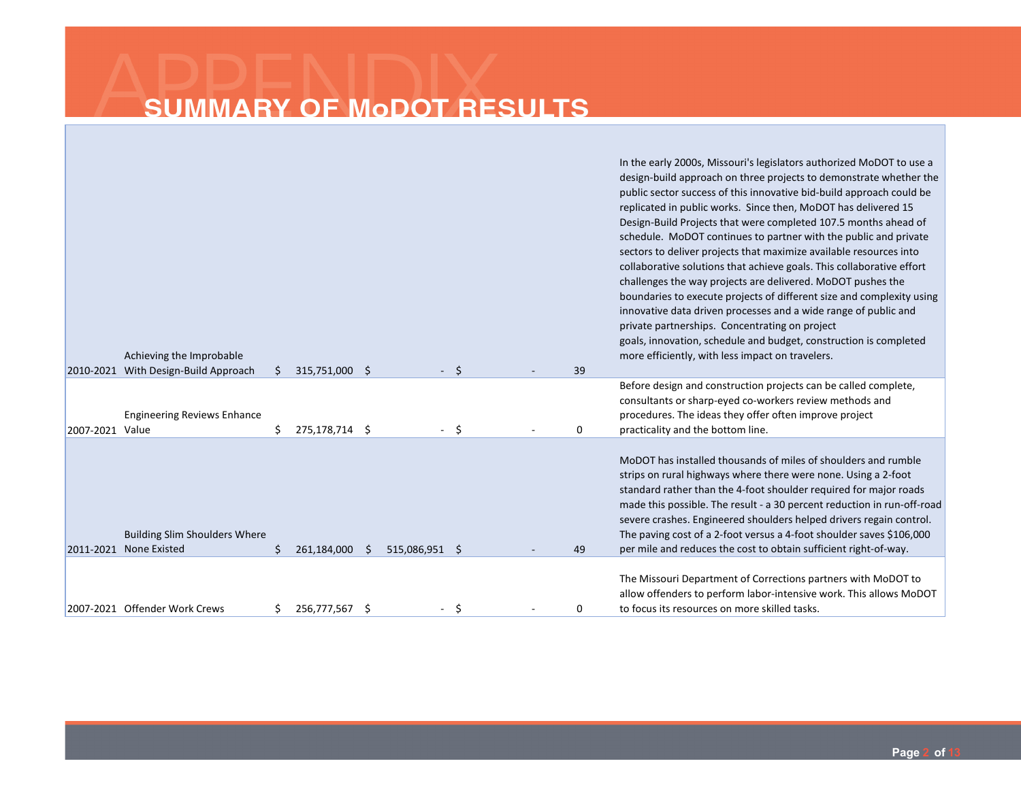|                 | Achieving the Improbable                                       |    |                |   |                |    |    | In the early 2000s, Missouri's legislators authorized MoDOT to use a<br>design-build approach on three projects to demonstrate whether the<br>public sector success of this innovative bid-build approach could be<br>replicated in public works. Since then, MoDOT has delivered 15<br>Design-Build Projects that were completed 107.5 months ahead of<br>schedule. MoDOT continues to partner with the public and private<br>sectors to deliver projects that maximize available resources into<br>collaborative solutions that achieve goals. This collaborative effort<br>challenges the way projects are delivered. MoDOT pushes the<br>boundaries to execute projects of different size and complexity using<br>innovative data driven processes and a wide range of public and<br>private partnerships. Concentrating on project<br>goals, innovation, schedule and budget, construction is completed<br>more efficiently, with less impact on travelers. |
|-----------------|----------------------------------------------------------------|----|----------------|---|----------------|----|----|------------------------------------------------------------------------------------------------------------------------------------------------------------------------------------------------------------------------------------------------------------------------------------------------------------------------------------------------------------------------------------------------------------------------------------------------------------------------------------------------------------------------------------------------------------------------------------------------------------------------------------------------------------------------------------------------------------------------------------------------------------------------------------------------------------------------------------------------------------------------------------------------------------------------------------------------------------------|
|                 | 2010-2021 With Design-Build Approach                           | Ŝ. | 315,751,000 \$ |   |                | Ŝ. | 39 |                                                                                                                                                                                                                                                                                                                                                                                                                                                                                                                                                                                                                                                                                                                                                                                                                                                                                                                                                                  |
| 2007-2021 Value | <b>Engineering Reviews Enhance</b>                             | Ś. | 275,178,714 \$ |   |                | Ŝ. | 0  | Before design and construction projects can be called complete,<br>consultants or sharp-eyed co-workers review methods and<br>procedures. The ideas they offer often improve project<br>practicality and the bottom line.                                                                                                                                                                                                                                                                                                                                                                                                                                                                                                                                                                                                                                                                                                                                        |
|                 | <b>Building Slim Shoulders Where</b><br>2011-2021 None Existed | Ś. | 261,184,000    | S | 515,086,951 \$ |    | 49 | MoDOT has installed thousands of miles of shoulders and rumble<br>strips on rural highways where there were none. Using a 2-foot<br>standard rather than the 4-foot shoulder required for major roads<br>made this possible. The result - a 30 percent reduction in run-off-road<br>severe crashes. Engineered shoulders helped drivers regain control.<br>The paving cost of a 2-foot versus a 4-foot shoulder saves \$106,000<br>per mile and reduces the cost to obtain sufficient right-of-way.                                                                                                                                                                                                                                                                                                                                                                                                                                                              |
|                 | 2007-2021 Offender Work Crews                                  |    | 256,777,567 \$ |   |                | Ŝ  | 0  | The Missouri Department of Corrections partners with MoDOT to<br>allow offenders to perform labor-intensive work. This allows MoDOT<br>to focus its resources on more skilled tasks.                                                                                                                                                                                                                                                                                                                                                                                                                                                                                                                                                                                                                                                                                                                                                                             |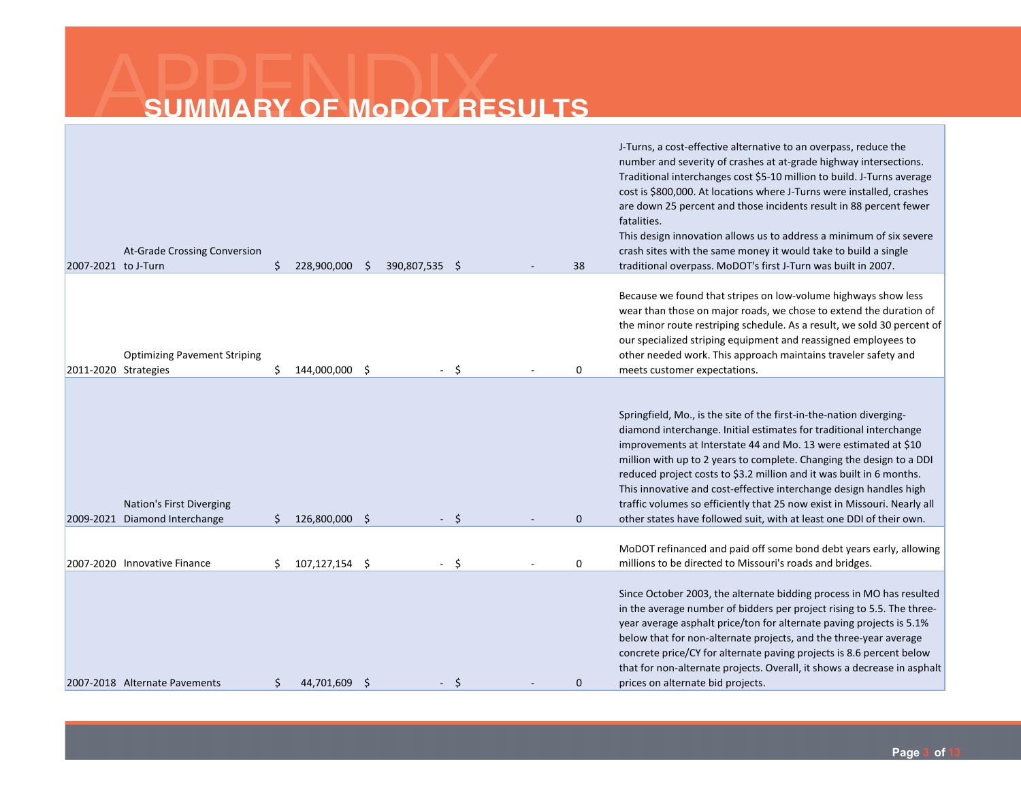| 2007-2021 to J-Turn | At-Grade Crossing Conversion                                | \$ | 228,900,000    | -S | 390,807,535 \$           |    | 38           | J-Turns, a cost-effective alternative to an overpass, reduce the<br>number and severity of crashes at at-grade highway intersections.<br>Traditional interchanges cost \$5-10 million to build. J-Turns average<br>cost is \$800,000. At locations where J-Turns were installed, crashes<br>are down 25 percent and those incidents result in 88 percent fewer<br>fatalities.<br>This design innovation allows us to address a minimum of six severe<br>crash sites with the same money it would take to build a single<br>traditional overpass. MoDOT's first J-Turn was built in 2007. |
|---------------------|-------------------------------------------------------------|----|----------------|----|--------------------------|----|--------------|------------------------------------------------------------------------------------------------------------------------------------------------------------------------------------------------------------------------------------------------------------------------------------------------------------------------------------------------------------------------------------------------------------------------------------------------------------------------------------------------------------------------------------------------------------------------------------------|
|                     | <b>Optimizing Pavement Striping</b><br>2011-2020 Strategies | Ś  | 144,000,000 \$ |    |                          | S  | 0            | Because we found that stripes on low-volume highways show less<br>wear than those on major roads, we chose to extend the duration of<br>the minor route restriping schedule. As a result, we sold 30 percent of<br>our specialized striping equipment and reassigned employees to<br>other needed work. This approach maintains traveler safety and<br>meets customer expectations.                                                                                                                                                                                                      |
|                     | Nation's First Diverging<br>2009-2021 Diamond Interchange   | Ś. | 126,800,000 \$ |    | $\overline{\phantom{a}}$ | -Ś | $\mathbf{0}$ | Springfield, Mo., is the site of the first-in-the-nation diverging-<br>diamond interchange. Initial estimates for traditional interchange<br>improvements at Interstate 44 and Mo. 13 were estimated at \$10<br>million with up to 2 years to complete. Changing the design to a DDI<br>reduced project costs to \$3.2 million and it was built in 6 months.<br>This innovative and cost-effective interchange design handles high<br>traffic volumes so efficiently that 25 now exist in Missouri. Nearly all<br>other states have followed suit, with at least one DDI of their own.   |
|                     | 2007-2020 Innovative Finance                                | Ś. | 107,127,154 \$ |    |                          | Ŝ. | 0            | MoDOT refinanced and paid off some bond debt years early, allowing<br>millions to be directed to Missouri's roads and bridges.                                                                                                                                                                                                                                                                                                                                                                                                                                                           |
|                     | 2007-2018 Alternate Pavements                               | \$ | 44.701.609 \$  |    |                          | S  | $\mathbf{0}$ | Since October 2003, the alternate bidding process in MO has resulted<br>in the average number of bidders per project rising to 5.5. The three-<br>year average asphalt price/ton for alternate paving projects is 5.1%<br>below that for non-alternate projects, and the three-year average<br>concrete price/CY for alternate paving projects is 8.6 percent below<br>that for non-alternate projects. Overall, it shows a decrease in asphalt<br>prices on alternate bid projects.                                                                                                     |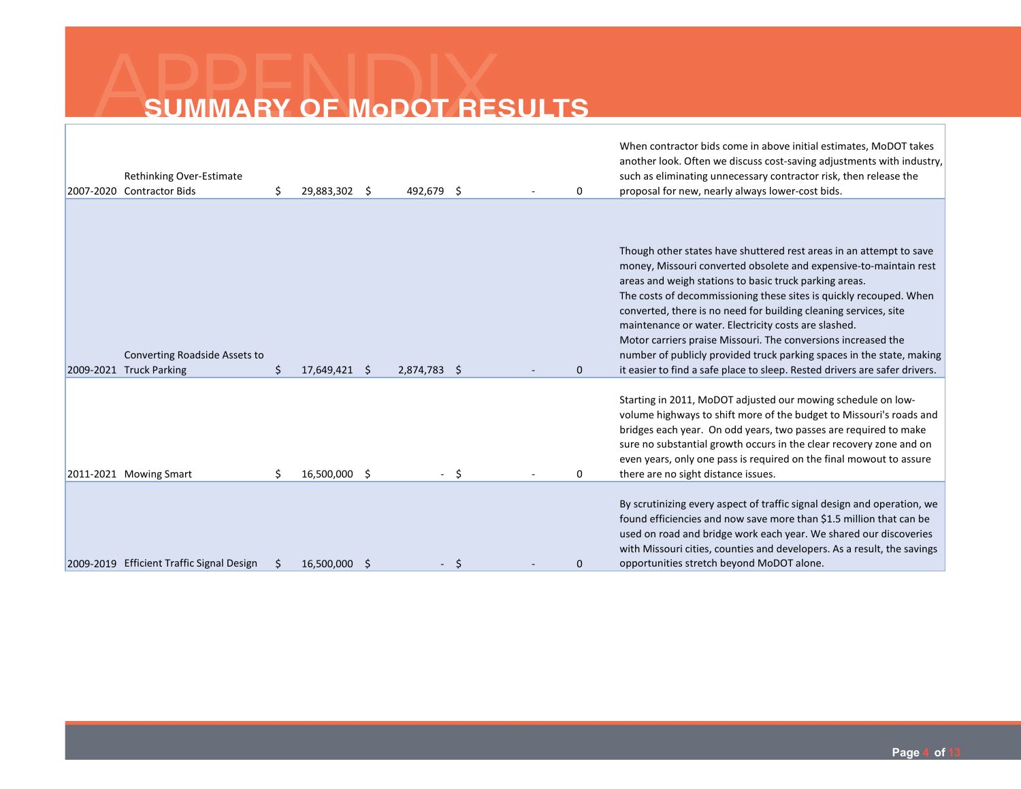|           | Rethinking Over-Estimate<br>2007-2020 Contractor Bids | \$ | 29,883,302 \$ | 492,679 \$   |   | 0        | When contractor bids come in above initial estimates, MoDOT takes<br>another look. Often we discuss cost-saving adjustments with industry,<br>such as eliminating unnecessary contractor risk, then release the<br>proposal for new, nearly always lower-cost bids.                                                                                                                                                                                                                                                                                                                                                          |
|-----------|-------------------------------------------------------|----|---------------|--------------|---|----------|------------------------------------------------------------------------------------------------------------------------------------------------------------------------------------------------------------------------------------------------------------------------------------------------------------------------------------------------------------------------------------------------------------------------------------------------------------------------------------------------------------------------------------------------------------------------------------------------------------------------------|
| 2009-2021 | Converting Roadside Assets to<br><b>Truck Parking</b> | Ś. | 17,649,421 \$ | 2,874,783 \$ |   | $\Omega$ | Though other states have shuttered rest areas in an attempt to save<br>money, Missouri converted obsolete and expensive-to-maintain rest<br>areas and weigh stations to basic truck parking areas.<br>The costs of decommissioning these sites is quickly recouped. When<br>converted, there is no need for building cleaning services, site<br>maintenance or water. Electricity costs are slashed.<br>Motor carriers praise Missouri. The conversions increased the<br>number of publicly provided truck parking spaces in the state, making<br>it easier to find a safe place to sleep. Rested drivers are safer drivers. |
|           | 2011-2021 Mowing Smart                                | Ś. | 16,500,000 \$ |              | S | 0        | Starting in 2011, MoDOT adjusted our mowing schedule on low-<br>volume highways to shift more of the budget to Missouri's roads and<br>bridges each year. On odd years, two passes are required to make<br>sure no substantial growth occurs in the clear recovery zone and on<br>even years, only one pass is required on the final mowout to assure<br>there are no sight distance issues.                                                                                                                                                                                                                                 |
| 2009-2019 | <b>Efficient Traffic Signal Design</b>                |    | 16.500.000    |              |   | 0        | By scrutinizing every aspect of traffic signal design and operation, we<br>found efficiencies and now save more than \$1.5 million that can be<br>used on road and bridge work each year. We shared our discoveries<br>with Missouri cities, counties and developers. As a result, the savings<br>opportunities stretch beyond MoDOT alone.                                                                                                                                                                                                                                                                                  |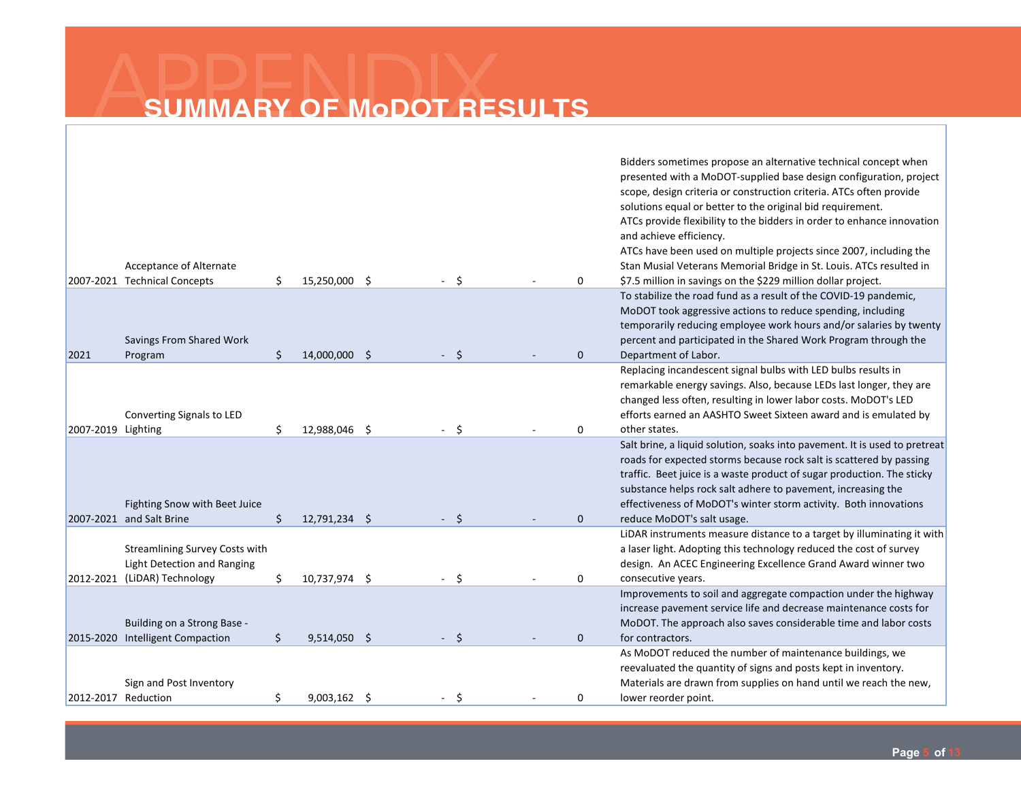|                     |                                                         |    |                |  |     |  |          | Bidders sometimes propose an alternative technical concept when<br>presented with a MoDOT-supplied base design configuration, project<br>scope, design criteria or construction criteria. ATCs often provide<br>solutions equal or better to the original bid requirement. |
|---------------------|---------------------------------------------------------|----|----------------|--|-----|--|----------|----------------------------------------------------------------------------------------------------------------------------------------------------------------------------------------------------------------------------------------------------------------------------|
|                     |                                                         |    |                |  |     |  |          | ATCs provide flexibility to the bidders in order to enhance innovation<br>and achieve efficiency.                                                                                                                                                                          |
|                     |                                                         |    |                |  |     |  |          | ATCs have been used on multiple projects since 2007, including the                                                                                                                                                                                                         |
|                     | Acceptance of Alternate<br>2007-2021 Technical Concepts | \$ | 15,250,000 \$  |  | Ŝ.  |  | 0        | Stan Musial Veterans Memorial Bridge in St. Louis. ATCs resulted in<br>\$7.5 million in savings on the \$229 million dollar project.                                                                                                                                       |
|                     |                                                         |    |                |  |     |  |          | To stabilize the road fund as a result of the COVID-19 pandemic,                                                                                                                                                                                                           |
|                     |                                                         |    |                |  |     |  |          | MoDOT took aggressive actions to reduce spending, including                                                                                                                                                                                                                |
|                     |                                                         |    |                |  |     |  |          | temporarily reducing employee work hours and/or salaries by twenty                                                                                                                                                                                                         |
|                     | Savings From Shared Work                                |    |                |  |     |  |          | percent and participated in the Shared Work Program through the                                                                                                                                                                                                            |
| 2021                | Program                                                 | \$ | 14,000,000 \$  |  | Ŝ.  |  | $\Omega$ | Department of Labor.                                                                                                                                                                                                                                                       |
|                     |                                                         |    |                |  |     |  |          | Replacing incandescent signal bulbs with LED bulbs results in                                                                                                                                                                                                              |
|                     |                                                         |    |                |  |     |  |          | remarkable energy savings. Also, because LEDs last longer, they are                                                                                                                                                                                                        |
|                     |                                                         |    |                |  |     |  |          | changed less often, resulting in lower labor costs. MoDOT's LED                                                                                                                                                                                                            |
|                     | Converting Signals to LED                               |    |                |  |     |  |          | efforts earned an AASHTO Sweet Sixteen award and is emulated by                                                                                                                                                                                                            |
| 2007-2019 Lighting  |                                                         | Ś. | 12,988,046 \$  |  | Ŝ   |  | 0        | other states.                                                                                                                                                                                                                                                              |
|                     |                                                         |    |                |  |     |  |          | Salt brine, a liquid solution, soaks into pavement. It is used to pretreat                                                                                                                                                                                                 |
|                     |                                                         |    |                |  |     |  |          | roads for expected storms because rock salt is scattered by passing                                                                                                                                                                                                        |
|                     |                                                         |    |                |  |     |  |          | traffic. Beet juice is a waste product of sugar production. The sticky                                                                                                                                                                                                     |
|                     |                                                         |    |                |  |     |  |          | substance helps rock salt adhere to pavement, increasing the                                                                                                                                                                                                               |
|                     | Fighting Snow with Beet Juice                           |    |                |  |     |  |          | effectiveness of MoDOT's winter storm activity. Both innovations                                                                                                                                                                                                           |
|                     | 2007-2021 and Salt Brine                                | \$ | 12,791,234 \$  |  | \$. |  | $\Omega$ | reduce MoDOT's salt usage.                                                                                                                                                                                                                                                 |
|                     |                                                         |    |                |  |     |  |          | LiDAR instruments measure distance to a target by illuminating it with                                                                                                                                                                                                     |
|                     | <b>Streamlining Survey Costs with</b>                   |    |                |  |     |  |          | a laser light. Adopting this technology reduced the cost of survey                                                                                                                                                                                                         |
|                     | Light Detection and Ranging                             |    |                |  |     |  |          | design. An ACEC Engineering Excellence Grand Award winner two                                                                                                                                                                                                              |
|                     | 2012-2021 (LiDAR) Technology                            | \$ | 10,737,974 \$  |  | Ś.  |  | 0        | consecutive years.                                                                                                                                                                                                                                                         |
|                     |                                                         |    |                |  |     |  |          | Improvements to soil and aggregate compaction under the highway                                                                                                                                                                                                            |
|                     |                                                         |    |                |  |     |  |          | increase pavement service life and decrease maintenance costs for                                                                                                                                                                                                          |
|                     | Building on a Strong Base -                             |    |                |  |     |  |          | MoDOT. The approach also saves considerable time and labor costs                                                                                                                                                                                                           |
|                     | 2015-2020 Intelligent Compaction                        | \$ | 9,514,050 \$   |  |     |  | $\Omega$ | for contractors.                                                                                                                                                                                                                                                           |
|                     |                                                         |    |                |  |     |  |          | As MoDOT reduced the number of maintenance buildings, we                                                                                                                                                                                                                   |
|                     |                                                         |    |                |  |     |  |          | reevaluated the quantity of signs and posts kept in inventory.                                                                                                                                                                                                             |
|                     | Sign and Post Inventory                                 |    |                |  |     |  |          | Materials are drawn from supplies on hand until we reach the new,                                                                                                                                                                                                          |
| 2012-2017 Reduction |                                                         | \$ | $9,003,162$ \$ |  | Ŝ   |  | 0        | lower reorder point.                                                                                                                                                                                                                                                       |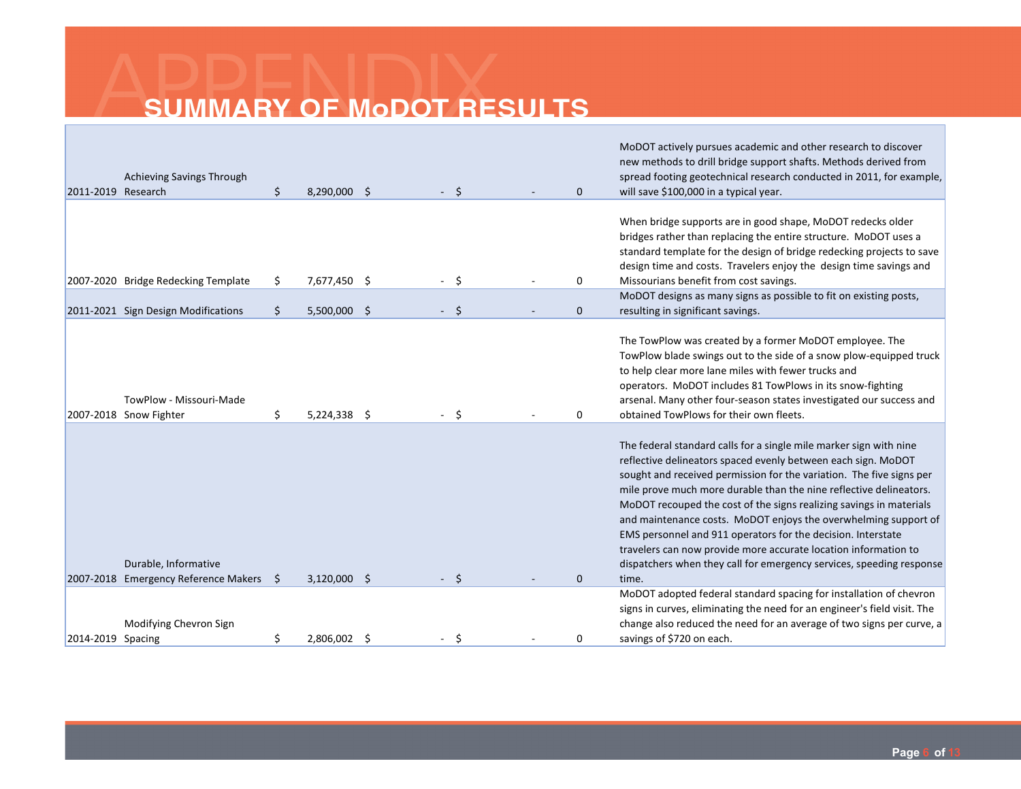| 2011-2019 Research | Achieving Savings Through                         | \$ | 8,290,000 \$   |  | Ŝ. | $\Omega$     | MoDOT actively pursues academic and other research to discover<br>new methods to drill bridge support shafts. Methods derived from<br>spread footing geotechnical research conducted in 2011, for example,<br>will save \$100,000 in a typical year.                                                                                                                                                                                                                                                                                                                                                                                   |
|--------------------|---------------------------------------------------|----|----------------|--|----|--------------|----------------------------------------------------------------------------------------------------------------------------------------------------------------------------------------------------------------------------------------------------------------------------------------------------------------------------------------------------------------------------------------------------------------------------------------------------------------------------------------------------------------------------------------------------------------------------------------------------------------------------------------|
|                    | 2007-2020 Bridge Redecking Template               | \$ | 7,677,450 \$   |  | Ŝ. | 0            | When bridge supports are in good shape, MoDOT redecks older<br>bridges rather than replacing the entire structure. MoDOT uses a<br>standard template for the design of bridge redecking projects to save<br>design time and costs. Travelers enjoy the design time savings and<br>Missourians benefit from cost savings.                                                                                                                                                                                                                                                                                                               |
|                    | 2011-2021 Sign Design Modifications               | \$ | $5,500,000$ \$ |  | Ŝ. | $\mathbf{0}$ | MoDOT designs as many signs as possible to fit on existing posts,<br>resulting in significant savings.                                                                                                                                                                                                                                                                                                                                                                                                                                                                                                                                 |
|                    | TowPlow - Missouri-Made<br>2007-2018 Snow Fighter | Ś. | $5,224,338$ \$ |  |    | $\Omega$     | The TowPlow was created by a former MoDOT employee. The<br>TowPlow blade swings out to the side of a snow plow-equipped truck<br>to help clear more lane miles with fewer trucks and<br>operators. MoDOT includes 81 TowPlows in its snow-fighting<br>arsenal. Many other four-season states investigated our success and<br>obtained TowPlows for their own fleets.                                                                                                                                                                                                                                                                   |
|                    | Durable, Informative                              |    |                |  |    |              | The federal standard calls for a single mile marker sign with nine<br>reflective delineators spaced evenly between each sign. MoDOT<br>sought and received permission for the variation. The five signs per<br>mile prove much more durable than the nine reflective delineators.<br>MoDOT recouped the cost of the signs realizing savings in materials<br>and maintenance costs. MoDOT enjoys the overwhelming support of<br>EMS personnel and 911 operators for the decision. Interstate<br>travelers can now provide more accurate location information to<br>dispatchers when they call for emergency services, speeding response |
|                    | 2007-2018 Emergency Reference Makers              | Ŝ  | $3,120,000$ \$ |  |    | $\Omega$     | time.                                                                                                                                                                                                                                                                                                                                                                                                                                                                                                                                                                                                                                  |
| 2014-2019 Spacing  | Modifying Chevron Sign                            | \$ | 2,806,002 \$   |  | S  | 0            | MoDOT adopted federal standard spacing for installation of chevron<br>signs in curves, eliminating the need for an engineer's field visit. The<br>change also reduced the need for an average of two signs per curve, a<br>savings of \$720 on each.                                                                                                                                                                                                                                                                                                                                                                                   |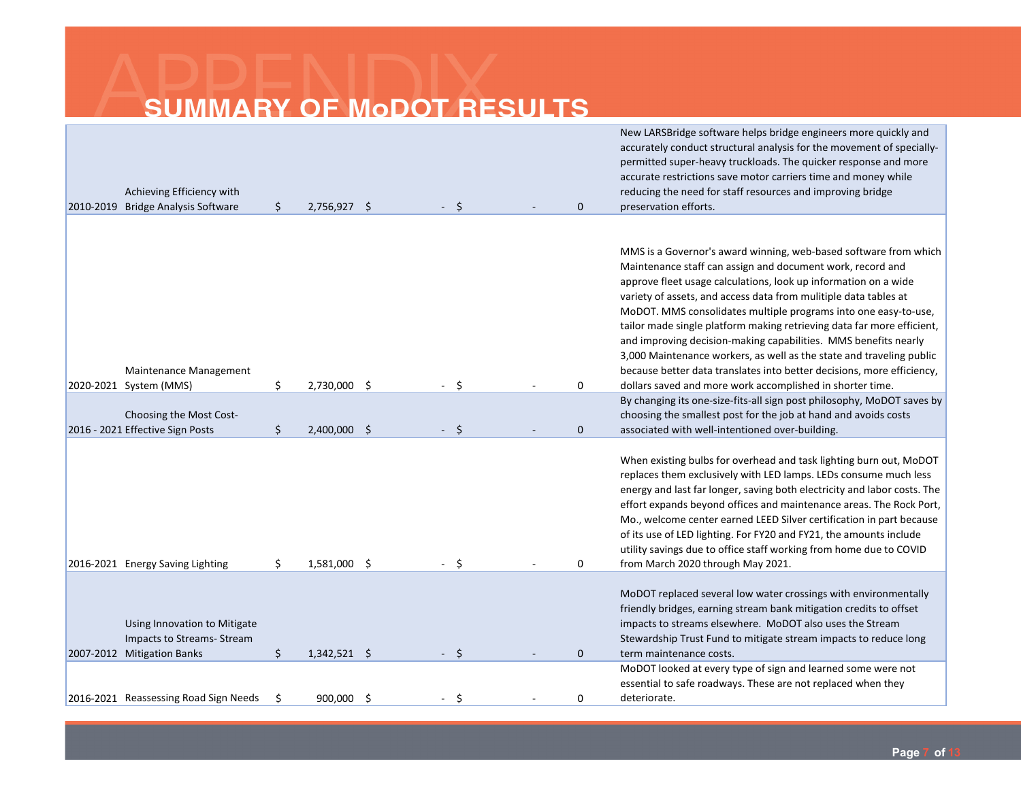| Achieving Efficiency with<br>2010-2019 Bridge Analysis Software                          | \$<br>2,756,927 \$   |  | Ŝ.      | $\mathbf{0}$ | New LARSBridge software helps bridge engineers more quickly and<br>accurately conduct structural analysis for the movement of specially-<br>permitted super-heavy truckloads. The quicker response and more<br>accurate restrictions save motor carriers time and money while<br>reducing the need for staff resources and improving bridge<br>preservation efforts.                                                                                                                                                                                                                                                                    |
|------------------------------------------------------------------------------------------|----------------------|--|---------|--------------|-----------------------------------------------------------------------------------------------------------------------------------------------------------------------------------------------------------------------------------------------------------------------------------------------------------------------------------------------------------------------------------------------------------------------------------------------------------------------------------------------------------------------------------------------------------------------------------------------------------------------------------------|
| Maintenance Management                                                                   | 2,730,000 \$         |  |         | 0            | MMS is a Governor's award winning, web-based software from which<br>Maintenance staff can assign and document work, record and<br>approve fleet usage calculations, look up information on a wide<br>variety of assets, and access data from mulitiple data tables at<br>MoDOT. MMS consolidates multiple programs into one easy-to-use,<br>tailor made single platform making retrieving data far more efficient,<br>and improving decision-making capabilities. MMS benefits nearly<br>3,000 Maintenance workers, as well as the state and traveling public<br>because better data translates into better decisions, more efficiency, |
| 2020-2021 System (MMS)                                                                   | \$                   |  | Ŝ.      |              | dollars saved and more work accomplished in shorter time.<br>By changing its one-size-fits-all sign post philosophy, MoDOT saves by                                                                                                                                                                                                                                                                                                                                                                                                                                                                                                     |
| Choosing the Most Cost-                                                                  |                      |  |         |              | choosing the smallest post for the job at hand and avoids costs                                                                                                                                                                                                                                                                                                                                                                                                                                                                                                                                                                         |
| 2016 - 2021 Effective Sign Posts                                                         | \$<br>2,400,000 \$   |  | $\zeta$ | $\mathbf{0}$ | associated with well-intentioned over-building.                                                                                                                                                                                                                                                                                                                                                                                                                                                                                                                                                                                         |
| 2016-2021 Energy Saving Lighting                                                         | \$<br>1,581,000 \$   |  | Ŝ.      | 0            | When existing bulbs for overhead and task lighting burn out, MoDOT<br>replaces them exclusively with LED lamps. LEDs consume much less<br>energy and last far longer, saving both electricity and labor costs. The<br>effort expands beyond offices and maintenance areas. The Rock Port,<br>Mo., welcome center earned LEED Silver certification in part because<br>of its use of LED lighting. For FY20 and FY21, the amounts include<br>utility savings due to office staff working from home due to COVID<br>from March 2020 through May 2021.                                                                                      |
| Using Innovation to Mitigate<br>Impacts to Streams- Stream<br>2007-2012 Mitigation Banks | \$<br>$1,342,521$ \$ |  | -\$     | $\mathbf{0}$ | MoDOT replaced several low water crossings with environmentally<br>friendly bridges, earning stream bank mitigation credits to offset<br>impacts to streams elsewhere. MoDOT also uses the Stream<br>Stewardship Trust Fund to mitigate stream impacts to reduce long<br>term maintenance costs.                                                                                                                                                                                                                                                                                                                                        |
|                                                                                          |                      |  |         |              | MoDOT looked at every type of sign and learned some were not                                                                                                                                                                                                                                                                                                                                                                                                                                                                                                                                                                            |
|                                                                                          |                      |  |         |              | essential to safe roadways. These are not replaced when they                                                                                                                                                                                                                                                                                                                                                                                                                                                                                                                                                                            |
| 2016-2021 Reassessing Road Sign Needs                                                    | \$<br>900,000 \$     |  | Ŝ.      | 0            | deteriorate.                                                                                                                                                                                                                                                                                                                                                                                                                                                                                                                                                                                                                            |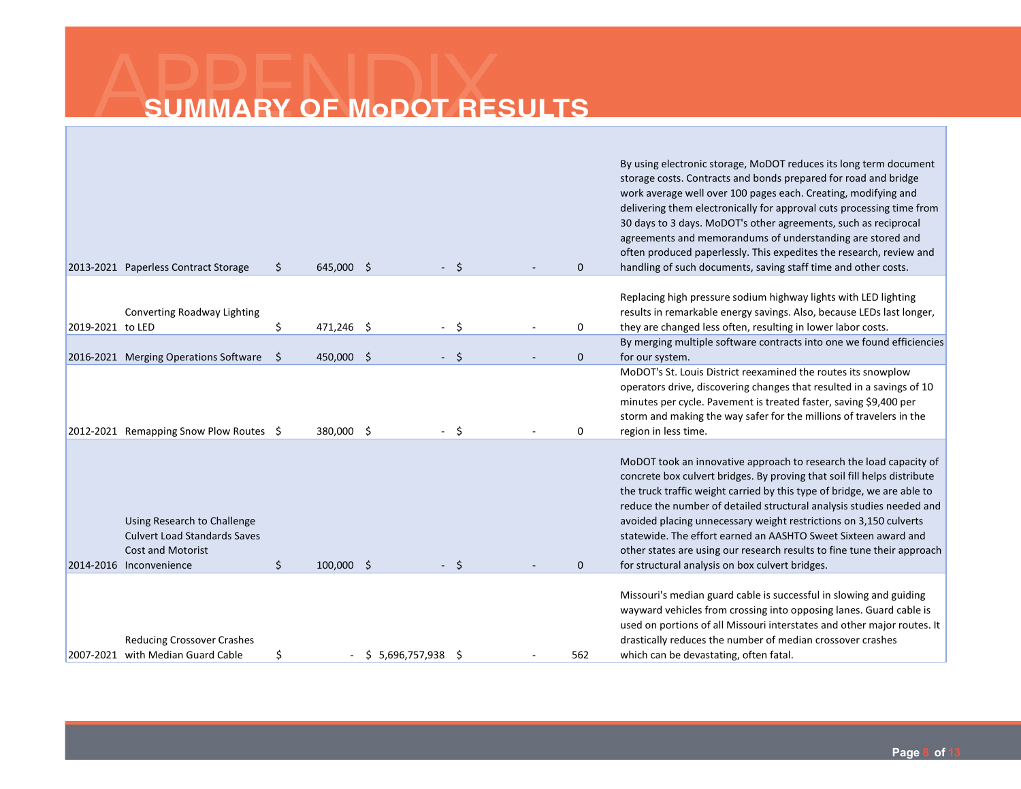|                  | 2013-2021 Paperless Contract Storage                                                                                      | \$ | 645,000 \$   |                 | Ŝ. | $\Omega$     | By using electronic storage, MoDOT reduces its long term document<br>storage costs. Contracts and bonds prepared for road and bridge<br>work average well over 100 pages each. Creating, modifying and<br>delivering them electronically for approval cuts processing time from<br>30 days to 3 days. MoDOT's other agreements, such as reciprocal<br>agreements and memorandums of understanding are stored and<br>often produced paperlessly. This expedites the research, review and<br>handling of such documents, saving staff time and other costs.              |
|------------------|---------------------------------------------------------------------------------------------------------------------------|----|--------------|-----------------|----|--------------|------------------------------------------------------------------------------------------------------------------------------------------------------------------------------------------------------------------------------------------------------------------------------------------------------------------------------------------------------------------------------------------------------------------------------------------------------------------------------------------------------------------------------------------------------------------------|
| 2019-2021 to LED | Converting Roadway Lighting                                                                                               | \$ | 471,246 \$   | $\overline{a}$  | Ŝ. | 0            | Replacing high pressure sodium highway lights with LED lighting<br>results in remarkable energy savings. Also, because LEDs last longer,<br>they are changed less often, resulting in lower labor costs.                                                                                                                                                                                                                                                                                                                                                               |
|                  | 2016-2021 Merging Operations Software                                                                                     | Ŝ. | 450,000 \$   |                 | S. | $\Omega$     | By merging multiple software contracts into one we found efficiencies<br>for our system.                                                                                                                                                                                                                                                                                                                                                                                                                                                                               |
|                  | 2012-2021 Remapping Snow Plow Routes \$                                                                                   |    | 380,000 \$   | $\blacksquare$  | Ŝ. | 0            | MoDOT's St. Louis District reexamined the routes its snowplow<br>operators drive, discovering changes that resulted in a savings of 10<br>minutes per cycle. Pavement is treated faster, saving \$9,400 per<br>storm and making the way safer for the millions of travelers in the<br>region in less time.                                                                                                                                                                                                                                                             |
|                  | Using Research to Challenge<br><b>Culvert Load Standards Saves</b><br><b>Cost and Motorist</b><br>2014-2016 Inconvenience | \$ | $100,000$ \$ |                 | Ŝ. | $\mathbf{0}$ | MoDOT took an innovative approach to research the load capacity of<br>concrete box culvert bridges. By proving that soil fill helps distribute<br>the truck traffic weight carried by this type of bridge, we are able to<br>reduce the number of detailed structural analysis studies needed and<br>avoided placing unnecessary weight restrictions on 3,150 culverts<br>statewide. The effort earned an AASHTO Sweet Sixteen award and<br>other states are using our research results to fine tune their approach<br>for structural analysis on box culvert bridges. |
|                  | <b>Reducing Crossover Crashes</b><br>2007-2021 with Median Guard Cable                                                    | \$ |              | \$5,696,757,938 | -S | 562          | Missouri's median guard cable is successful in slowing and guiding<br>wayward vehicles from crossing into opposing lanes. Guard cable is<br>used on portions of all Missouri interstates and other major routes. It<br>drastically reduces the number of median crossover crashes<br>which can be devastating, often fatal.                                                                                                                                                                                                                                            |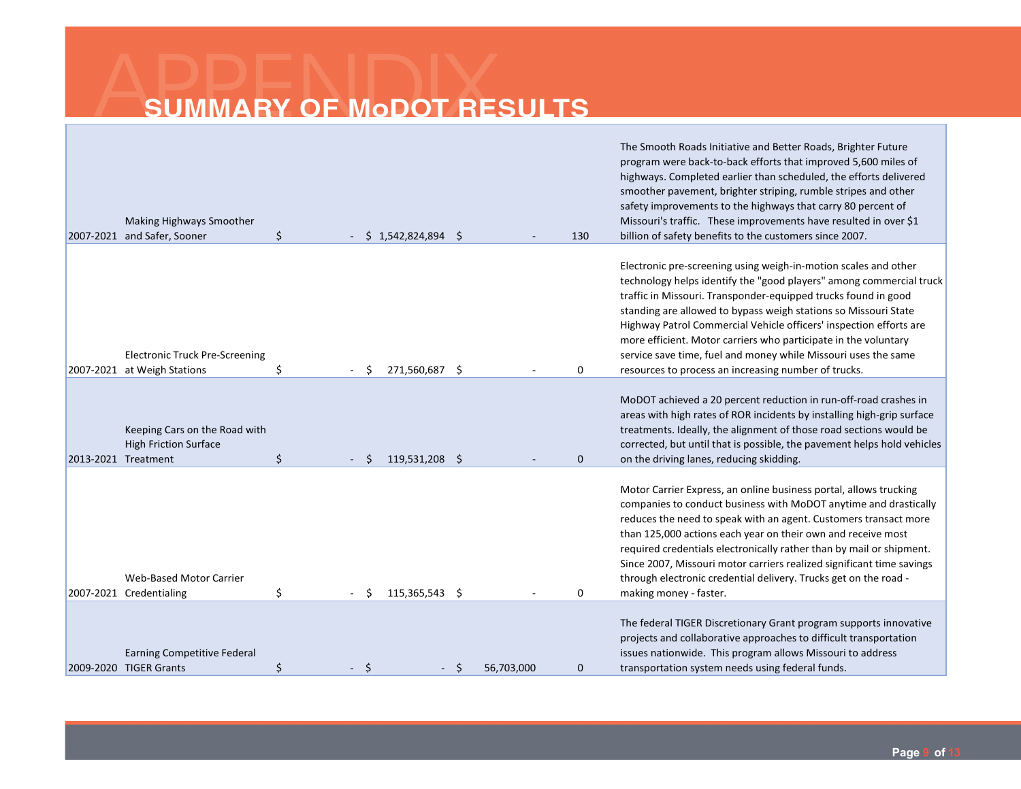| Making Highways Smoother<br>2007-2021 and Safer, Sooner                              | \$ |      |   | \$1,542,824,894 | -Ś   |            | 130          | The Smooth Roads Initiative and Better Roads, Brighter Future<br>program were back-to-back efforts that improved 5,600 miles of<br>highways. Completed earlier than scheduled, the efforts delivered<br>smoother pavement, brighter striping, rumble stripes and other<br>safety improvements to the highways that carry 80 percent of<br>Missouri's traffic. These improvements have resulted in over \$1<br>billion of safety benefits to the customers since 2007.                                                                          |
|--------------------------------------------------------------------------------------|----|------|---|-----------------|------|------------|--------------|------------------------------------------------------------------------------------------------------------------------------------------------------------------------------------------------------------------------------------------------------------------------------------------------------------------------------------------------------------------------------------------------------------------------------------------------------------------------------------------------------------------------------------------------|
| <b>Electronic Truck Pre-Screening</b><br>2007-2021 at Weigh Stations                 | Ś  |      | Ŝ | 271.560.687     | - \$ |            | 0            | Electronic pre-screening using weigh-in-motion scales and other<br>technology helps identify the "good players" among commercial truck<br>traffic in Missouri. Transponder-equipped trucks found in good<br>standing are allowed to bypass weigh stations so Missouri State<br>Highway Patrol Commercial Vehicle officers' inspection efforts are<br>more efficient. Motor carriers who participate in the voluntary<br>service save time, fuel and money while Missouri uses the same<br>resources to process an increasing number of trucks. |
| Keeping Cars on the Road with<br><b>High Friction Surface</b><br>2013-2021 Treatment | \$ |      |   | 119,531,208 \$  |      |            | $\mathbf{0}$ | MoDOT achieved a 20 percent reduction in run-off-road crashes in<br>areas with high rates of ROR incidents by installing high-grip surface<br>treatments. Ideally, the alignment of those road sections would be<br>corrected, but until that is possible, the pavement helps hold vehicles<br>on the driving lanes, reducing skidding.                                                                                                                                                                                                        |
| <b>Web-Based Motor Carrier</b><br>2007-2021 Credentialing                            | \$ |      |   | 115,365,543 \$  |      |            | 0            | Motor Carrier Express, an online business portal, allows trucking<br>companies to conduct business with MoDOT anytime and drastically<br>reduces the need to speak with an agent. Customers transact more<br>than 125,000 actions each year on their own and receive most<br>required credentials electronically rather than by mail or shipment.<br>Since 2007, Missouri motor carriers realized significant time savings<br>through electronic credential delivery. Trucks get on the road -<br>making money - faster.                       |
| <b>Earning Competitive Federal</b>                                                   |    |      |   |                 |      |            |              | The federal TIGER Discretionary Grant program supports innovative<br>projects and collaborative approaches to difficult transportation<br>issues nationwide. This program allows Missouri to address                                                                                                                                                                                                                                                                                                                                           |
| 2009-2020 TIGER Grants                                                               | \$ | - \$ |   |                 | Ŝ    | 56,703,000 | $\mathbf 0$  | transportation system needs using federal funds.                                                                                                                                                                                                                                                                                                                                                                                                                                                                                               |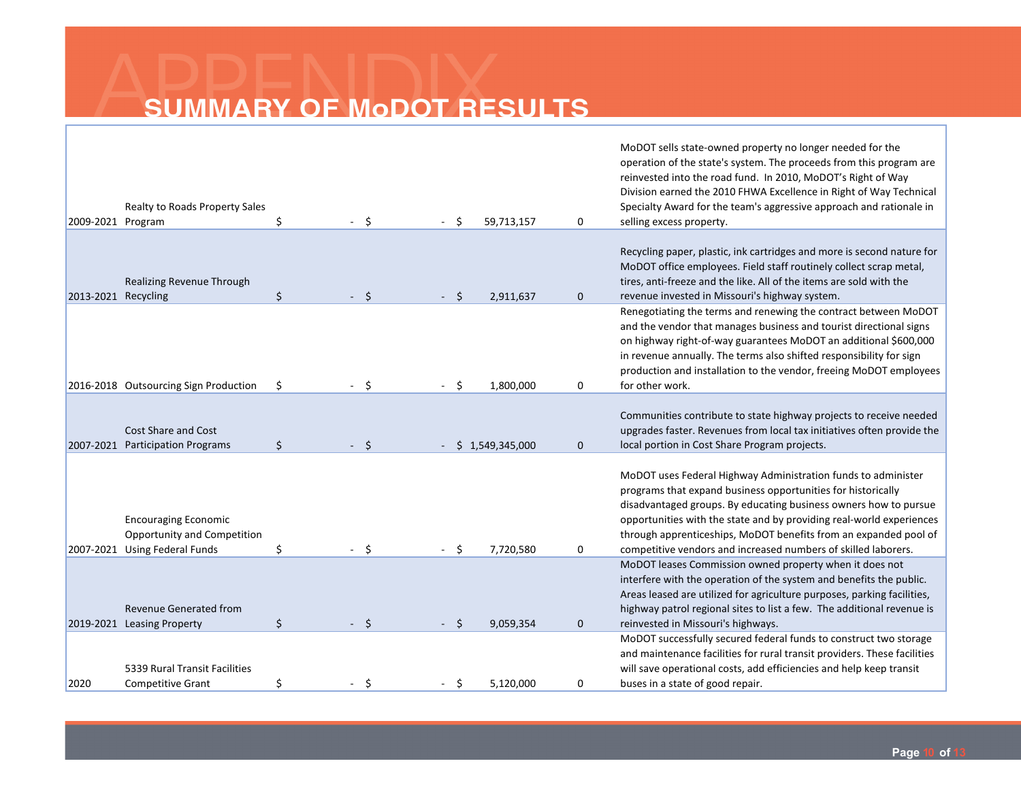| 2009-2021 Program   | Realty to Roads Property Sales                                                              | Ś  | $-5$         |    | 59,713,157      | 0            | MoDOT sells state-owned property no longer needed for the<br>operation of the state's system. The proceeds from this program are<br>reinvested into the road fund. In 2010, MoDOT's Right of Way<br>Division earned the 2010 FHWA Excellence in Right of Way Technical<br>Specialty Award for the team's aggressive approach and rationale in<br>selling excess property.                                       |
|---------------------|---------------------------------------------------------------------------------------------|----|--------------|----|-----------------|--------------|-----------------------------------------------------------------------------------------------------------------------------------------------------------------------------------------------------------------------------------------------------------------------------------------------------------------------------------------------------------------------------------------------------------------|
|                     |                                                                                             |    |              |    |                 |              |                                                                                                                                                                                                                                                                                                                                                                                                                 |
| 2013-2021 Recycling | Realizing Revenue Through                                                                   | \$ | $-5$         | Ŝ. | 2,911,637       | $\mathbf 0$  | Recycling paper, plastic, ink cartridges and more is second nature for<br>MoDOT office employees. Field staff routinely collect scrap metal,<br>tires, anti-freeze and the like. All of the items are sold with the<br>revenue invested in Missouri's highway system.                                                                                                                                           |
|                     |                                                                                             |    |              |    |                 |              | Renegotiating the terms and renewing the contract between MoDOT                                                                                                                                                                                                                                                                                                                                                 |
|                     |                                                                                             |    |              |    |                 |              | and the vendor that manages business and tourist directional signs<br>on highway right-of-way guarantees MoDOT an additional \$600,000<br>in revenue annually. The terms also shifted responsibility for sign<br>production and installation to the vendor, freeing MoDOT employees                                                                                                                             |
|                     | 2016-2018 Outsourcing Sign Production                                                       | \$ | - \$         | .S | 1,800,000       | 0            | for other work.                                                                                                                                                                                                                                                                                                                                                                                                 |
|                     | <b>Cost Share and Cost</b><br>2007-2021 Participation Programs                              | \$ | $-5$         |    | \$1,549,345,000 | $\mathbf{0}$ | Communities contribute to state highway projects to receive needed<br>upgrades faster. Revenues from local tax initiatives often provide the<br>local portion in Cost Share Program projects.                                                                                                                                                                                                                   |
|                     | <b>Encouraging Economic</b><br>Opportunity and Competition<br>2007-2021 Using Federal Funds | \$ | $\mathsf{S}$ |    | 7,720,580       | 0            | MoDOT uses Federal Highway Administration funds to administer<br>programs that expand business opportunities for historically<br>disadvantaged groups. By educating business owners how to pursue<br>opportunities with the state and by providing real-world experiences<br>through apprenticeships, MoDOT benefits from an expanded pool of<br>competitive vendors and increased numbers of skilled laborers. |
|                     | <b>Revenue Generated from</b>                                                               | \$ | $-5$         |    |                 |              | MoDOT leases Commission owned property when it does not<br>interfere with the operation of the system and benefits the public.<br>Areas leased are utilized for agriculture purposes, parking facilities,<br>highway patrol regional sites to list a few. The additional revenue is                                                                                                                             |
|                     | 2019-2021 Leasing Property                                                                  |    |              |    | 9,059,354       | $\mathbf 0$  | reinvested in Missouri's highways.<br>MoDOT successfully secured federal funds to construct two storage                                                                                                                                                                                                                                                                                                         |
| 2020                | 5339 Rural Transit Facilities<br><b>Competitive Grant</b>                                   | \$ | $-5$         |    | 5,120,000       | 0            | and maintenance facilities for rural transit providers. These facilities<br>will save operational costs, add efficiencies and help keep transit<br>buses in a state of good repair.                                                                                                                                                                                                                             |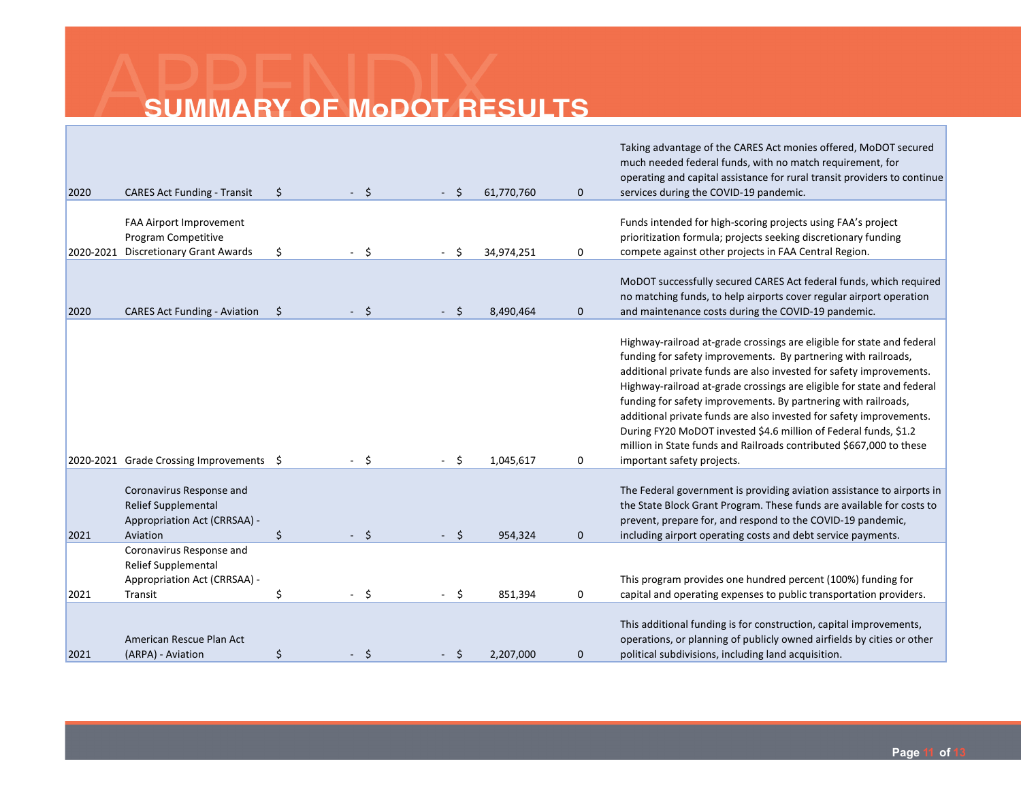| 2020 | <b>CARES Act Funding - Transit</b>                                                                 | \$<br>$-5$                | - Ś  | 61,770,760 | $\mathbf{0}$ | Taking advantage of the CARES Act monies offered, MoDOT secured<br>much needed federal funds, with no match requirement, for<br>operating and capital assistance for rural transit providers to continue<br>services during the COVID-19 pandemic.                                                                                                                                                                                                                                                                                                                                                          |
|------|----------------------------------------------------------------------------------------------------|---------------------------|------|------------|--------------|-------------------------------------------------------------------------------------------------------------------------------------------------------------------------------------------------------------------------------------------------------------------------------------------------------------------------------------------------------------------------------------------------------------------------------------------------------------------------------------------------------------------------------------------------------------------------------------------------------------|
|      | FAA Airport Improvement<br>Program Competitive<br>2020-2021 Discretionary Grant Awards             | \$<br>Ŝ.                  |      | 34,974,251 | 0            | Funds intended for high-scoring projects using FAA's project<br>prioritization formula; projects seeking discretionary funding<br>compete against other projects in FAA Central Region.                                                                                                                                                                                                                                                                                                                                                                                                                     |
| 2020 | <b>CARES Act Funding - Aviation</b>                                                                | \$<br>$\ddot{\mathsf{s}}$ | Ŝ.   | 8,490,464  | $\mathbf 0$  | MoDOT successfully secured CARES Act federal funds, which required<br>no matching funds, to help airports cover regular airport operation<br>and maintenance costs during the COVID-19 pandemic.                                                                                                                                                                                                                                                                                                                                                                                                            |
|      | 2020-2021 Grade Crossing Improvements \$                                                           | - \$                      | - \$ | 1,045,617  | 0            | Highway-railroad at-grade crossings are eligible for state and federal<br>funding for safety improvements. By partnering with railroads,<br>additional private funds are also invested for safety improvements.<br>Highway-railroad at-grade crossings are eligible for state and federal<br>funding for safety improvements. By partnering with railroads,<br>additional private funds are also invested for safety improvements.<br>During FY20 MoDOT invested \$4.6 million of Federal funds, \$1.2<br>million in State funds and Railroads contributed \$667,000 to these<br>important safety projects. |
| 2021 | Coronavirus Response and<br><b>Relief Supplemental</b><br>Appropriation Act (CRRSAA) -<br>Aviation | \$<br>$-5$                | $-5$ | 954,324    | $\mathbf{0}$ | The Federal government is providing aviation assistance to airports in<br>the State Block Grant Program. These funds are available for costs to<br>prevent, prepare for, and respond to the COVID-19 pandemic,<br>including airport operating costs and debt service payments.                                                                                                                                                                                                                                                                                                                              |
| 2021 | Coronavirus Response and<br>Relief Supplemental<br>Appropriation Act (CRRSAA) -<br>Transit         | \$<br>$-5$                | - \$ | 851,394    | 0            | This program provides one hundred percent (100%) funding for<br>capital and operating expenses to public transportation providers.                                                                                                                                                                                                                                                                                                                                                                                                                                                                          |
| 2021 | American Rescue Plan Act<br>(ARPA) - Aviation                                                      | \$<br>- \$                | Ŝ    | 2,207,000  | $\mathbf 0$  | This additional funding is for construction, capital improvements,<br>operations, or planning of publicly owned airfields by cities or other<br>political subdivisions, including land acquisition.                                                                                                                                                                                                                                                                                                                                                                                                         |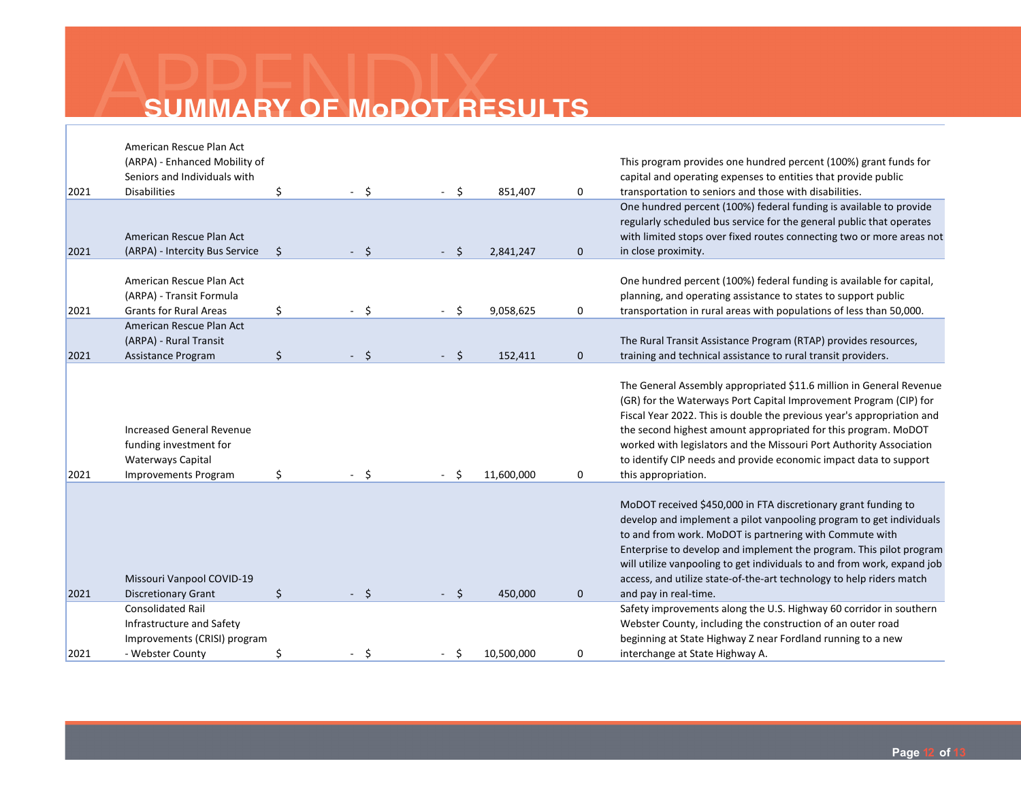|      | American Rescue Plan Act<br>(ARPA) - Enhanced Mobility of                                                      |                     |      |            |              | This program provides one hundred percent (100%) grant funds for                                                                                                                                                                                                                                                                                                                                                                                        |
|------|----------------------------------------------------------------------------------------------------------------|---------------------|------|------------|--------------|---------------------------------------------------------------------------------------------------------------------------------------------------------------------------------------------------------------------------------------------------------------------------------------------------------------------------------------------------------------------------------------------------------------------------------------------------------|
|      | Seniors and Individuals with                                                                                   |                     |      |            |              | capital and operating expenses to entities that provide public                                                                                                                                                                                                                                                                                                                                                                                          |
| 2021 | <b>Disabilities</b>                                                                                            | \$<br>$-5$          | Ŝ.   | 851,407    | 0            | transportation to seniors and those with disabilities.                                                                                                                                                                                                                                                                                                                                                                                                  |
| 2021 | American Rescue Plan Act<br>(ARPA) - Intercity Bus Service                                                     | \$<br>$-5$          | Ŝ.   | 2,841,247  | $\mathbf 0$  | One hundred percent (100%) federal funding is available to provide<br>regularly scheduled bus service for the general public that operates<br>with limited stops over fixed routes connecting two or more areas not<br>in close proximity.                                                                                                                                                                                                              |
| 2021 | American Rescue Plan Act<br>(ARPA) - Transit Formula<br><b>Grants for Rural Areas</b>                          | \$<br>- \$          | Ŝ.   | 9,058,625  | 0            | One hundred percent (100%) federal funding is available for capital,<br>planning, and operating assistance to states to support public<br>transportation in rural areas with populations of less than 50,000.                                                                                                                                                                                                                                           |
|      | American Rescue Plan Act                                                                                       |                     |      |            |              |                                                                                                                                                                                                                                                                                                                                                                                                                                                         |
|      | (ARPA) - Rural Transit                                                                                         |                     |      |            |              | The Rural Transit Assistance Program (RTAP) provides resources,                                                                                                                                                                                                                                                                                                                                                                                         |
| 2021 | Assistance Program                                                                                             | \$<br>$-5$          | - \$ | 152,411    | $\mathbf{0}$ | training and technical assistance to rural transit providers.                                                                                                                                                                                                                                                                                                                                                                                           |
| 2021 | <b>Increased General Revenue</b><br>funding investment for<br>Waterways Capital<br><b>Improvements Program</b> | \$<br>Ś.            | Š.   | 11,600,000 | 0            | The General Assembly appropriated \$11.6 million in General Revenue<br>(GR) for the Waterways Port Capital Improvement Program (CIP) for<br>Fiscal Year 2022. This is double the previous year's appropriation and<br>the second highest amount appropriated for this program. MoDOT<br>worked with legislators and the Missouri Port Authority Association<br>to identify CIP needs and provide economic impact data to support<br>this appropriation. |
| 2021 | Missouri Vanpool COVID-19<br><b>Discretionary Grant</b>                                                        | \$<br>$\ddot{\phi}$ | Ŝ.   | 450,000    | 0            | MoDOT received \$450,000 in FTA discretionary grant funding to<br>develop and implement a pilot vanpooling program to get individuals<br>to and from work. MoDOT is partnering with Commute with<br>Enterprise to develop and implement the program. This pilot program<br>will utilize vanpooling to get individuals to and from work, expand job<br>access, and utilize state-of-the-art technology to help riders match<br>and pay in real-time.     |
|      | <b>Consolidated Rail</b>                                                                                       |                     |      |            |              | Safety improvements along the U.S. Highway 60 corridor in southern                                                                                                                                                                                                                                                                                                                                                                                      |
|      | Infrastructure and Safety                                                                                      |                     |      |            |              | Webster County, including the construction of an outer road                                                                                                                                                                                                                                                                                                                                                                                             |
|      | Improvements (CRISI) program                                                                                   |                     |      |            |              | beginning at State Highway Z near Fordland running to a new                                                                                                                                                                                                                                                                                                                                                                                             |
| 2021 | - Webster County                                                                                               | $-5$                | Ŝ    | 10,500,000 | 0            | interchange at State Highway A.                                                                                                                                                                                                                                                                                                                                                                                                                         |